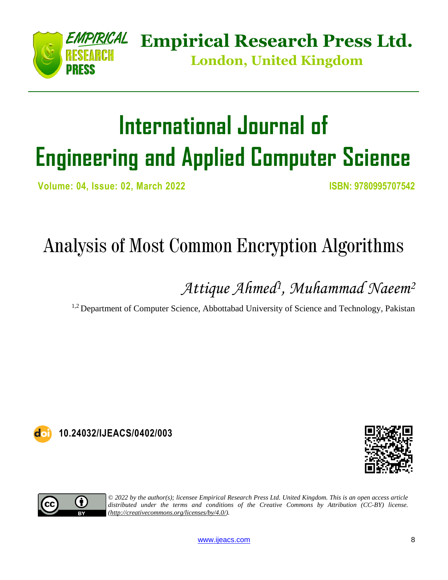

**Empirical Research Press Ltd. London, United Kingdom**

# **International Journal of Engineering and Applied Computer Science**

**Volume: 04, Issue: 02, March 2022 ISBN: 9780995707542**

## Analysis of Most Common Encryption Algorithms

*Attique Ahmed<sup>1</sup> , Muhammad Naeem<sup>2</sup>*

<sup>1,2</sup> Department of Computer Science, Abbottabad University of Science and Technology, Pakistan

**10.24032/IJEACS/0402/003**





*© 2022 by the author(s); licensee Empirical Research Press Ltd. United Kingdom. This is an open access article distributed under the terms and conditions of the Creative Commons by Attribution (CC-BY) license. [\(http://creativecommons.org/licenses/by/4.0/\)](http://creativecommons.org/licenses/by/4.0/).*

[www.ijeacs.com](http://ijeacs.com/) 8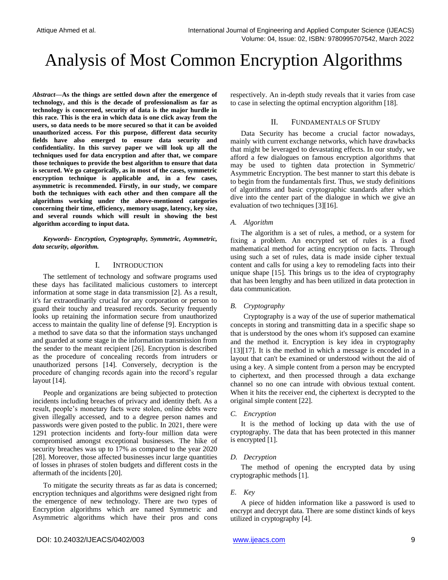### Analysis of Most Common Encryption Algorithms

*Abstract***—As the things are settled down after the emergence of technology, and this is the decade of professionalism as far as technology is concerned, security of data is the major hurdle in this race. This is the era in which data is one click away from the users, so data needs to be more secured so that it can be avoided unauthorized access. For this purpose, different data security fields have also emerged to ensure data security and confidentiality. In this survey paper we will look up all the techniques used for data encryption and after that, we compare those techniques to provide the best algorithm to ensure that data is secured. We go categorically, as in most of the cases, symmetric encryption technique is applicable and, in a few cases, asymmetric is recommended. Firstly, in our study, we compare both the techniques with each other and then compare all the algorithms working under the above-mentioned categories concerning their time, efficiency, memory usage, latency, key size, and several rounds which will result in showing the best algorithm according to input data.**

*Keywords- Encryption, Cryptography, Symmetric, Asymmetric, data security, algorithm.*

#### I. INTRODUCTION

The settlement of technology and software programs used these days has facilitated malicious customers to intercept information at some stage in data transmission [2]. As a result, it's far extraordinarily crucial for any corporation or person to guard their touchy and treasured records. Security frequently looks up retaining the information secure from unauthorized access to maintain the quality line of defense [9]. Encryption is a method to save data so that the information stays unchanged and guarded at some stage in the information transmission from the sender to the meant recipient [26]. Encryption is described as the procedure of concealing records from intruders or unauthorized persons [14]. Conversely, decryption is the procedure of changing records again into the record's regular layout [14].

People and organizations are being subjected to protection incidents including breaches of privacy and identity theft. As a result, people's monetary facts were stolen, online debts were given illegally accessed, and to a degree person names and passwords were given posted to the public. In 2021, there were 1291 protection incidents and forty-four million data were compromised amongst exceptional businesses. The hike of security breaches was up to 17% as compared to the year 2020 [28]. Moreover, those affected businesses incur large quantities of losses in phrases of stolen budgets and different costs in the aftermath of the incidents [20].

To mitigate the security threats as far as data is concerned; encryption techniques and algorithms were designed right from the emergence of new technology. There are two types of Encryption algorithms which are named Symmetric and Asymmetric algorithms which have their pros and cons respectively. An in-depth study reveals that it varies from case to case in selecting the optimal encryption algorithm [18].

#### II. FUNDAMENTALS OF STUDY

Data Security has become a crucial factor nowadays, mainly with current exchange networks, which have drawbacks that might be leveraged to devastating effects. In our study, we afford a few dialogues on famous encryption algorithms that may be used to tighten data protection in Symmetric/ Asymmetric Encryption. The best manner to start this debate is to begin from the fundamentals first. Thus, we study definitions of algorithms and basic cryptographic standards after which dive into the center part of the dialogue in which we give an evaluation of two techniques [3][16].

#### *A. Algorithm*

The algorithm is a set of rules, a method, or a system for fixing a problem. An encrypted set of rules is a fixed mathematical method for acting encryption on facts. Through using such a set of rules, data is made inside cipher textual content and calls for using a key to remodeling facts into their unique shape [15]. This brings us to the idea of cryptography that has been lengthy and has been utilized in data protection in data communication.

### *B. Cryptography*

Cryptography is a way of the use of superior mathematical concepts in storing and transmitting data in a specific shape so that is understood by the ones whom it's supposed can examine and the method it. Encryption is key idea in cryptography [13][17]. It is the method in which a message is encoded in a layout that can't be examined or understood without the aid of using a key. A simple content from a person may be encrypted to ciphertext, and then processed through a data exchange channel so no one can intrude with obvious textual content. When it hits the receiver end, the ciphertext is decrypted to the original simple content [22].

#### *C. Encryption*

It is the method of locking up data with the use of cryptography. The data that has been protected in this manner is encrypted [1].

#### *D. Decryption*

The method of opening the encrypted data by using cryptographic methods [1].

### *E. Key*

A piece of hidden information like a password is used to encrypt and decrypt data. There are some distinct kinds of keys utilized in cryptography [4].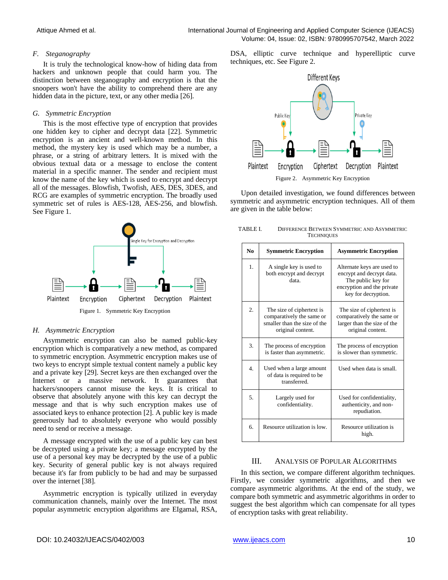#### *F. Steganography*

It is truly the technological know-how of hiding data from hackers and unknown people that could harm you. The distinction between steganography and encryption is that the snoopers won't have the ability to comprehend there are any hidden data in the picture, text, or any other media [26].

#### *G. Symmetric Encryption*

This is the most effective type of encryption that provides one hidden key to cipher and decrypt data [22]. Symmetric encryption is an ancient and well-known method. In this method, the mystery key is used which may be a number, a phrase, or a string of arbitrary letters. It is mixed with the obvious textual data or a message to enclose the content material in a specific manner. The sender and recipient must know the name of the key which is used to encrypt and decrypt all of the messages. Blowfish, Twofish, AES, DES, 3DES, and RCG are examples of symmetric encryption. The broadly used symmetric set of rules is AES-128, AES-256, and blowfish. See Figure 1.



*H. Asymmetric Encryption*

Asymmetric encryption can also be named public-key encryption which is comparatively a new method, as compared to symmetric encryption. Asymmetric encryption makes use of two keys to encrypt simple textual content namely a public key and a private key [29]. Secret keys are then exchanged over the Internet or a massive network. It guarantees that hackers/snoopers cannot misuse the keys. It is critical to observe that absolutely anyone with this key can decrypt the message and that is why such encryption makes use of associated keys to enhance protection [2]. A public key is made generously had to absolutely everyone who would possibly need to send or receive a message.

A message encrypted with the use of a public key can best be decrypted using a private key; a message encrypted by the use of a personal key may be decrypted by the use of a public key. Security of general public key is not always required because it's far from publicly to be had and may be surpassed over the internet [38].

Asymmetric encryption is typically utilized in everyday communication channels, mainly over the Internet. The most popular asymmetric encryption algorithms are EIgamal, RSA,

DSA, elliptic curve technique and hyperelliptic curve techniques, etc. See Figure 2.



Upon detailed investigation, we found differences between symmetric and asymmetric encryption techniques. All of them are given in the table below:

| TABLE I. | DIFFERENCE BETWEEN SYMMETRIC AND ASYMMETRIC |
|----------|---------------------------------------------|
|          | <b>TECHNIQUES</b>                           |

| $\mathbf{N_0}$   | <b>Symmetric Encryption</b>                                                                                 | <b>Asymmetric Encryption</b>                                                                                                       |
|------------------|-------------------------------------------------------------------------------------------------------------|------------------------------------------------------------------------------------------------------------------------------------|
| 1.               | A single key is used to<br>both encrypt and decrypt<br>data.                                                | Alternate keys are used to<br>encrypt and decrypt data.<br>The public key for<br>encryption and the private<br>key for decryption. |
| 2.               | The size of ciphertext is<br>comparatively the same or<br>smaller than the size of the<br>original content. | The size of ciphertext is<br>comparatively the same or<br>larger than the size of the<br>original content.                         |
| 3.               | The process of encryption<br>is faster than asymmetric.                                                     | The process of encryption<br>is slower than symmetric.                                                                             |
| $\overline{4}$ . | Used when a large amount<br>of data is required to be<br>transferred.                                       | Used when data is small.                                                                                                           |
| 5.               | Largely used for<br>confidentiality.                                                                        | Used for confidentiality,<br>authenticity, and non-<br>repudiation.                                                                |
| б.               | Resource utilization is low.                                                                                | Resource utilization is<br>high.                                                                                                   |

#### III. ANALYSIS OF POPULAR ALGORITHMS

In this section, we compare different algorithm techniques. Firstly, we consider symmetric algorithms, and then we compare asymmetric algorithms. At the end of the study, we compare both symmetric and asymmetric algorithms in order to suggest the best algorithm which can compensate for all types of encryption tasks with great reliability.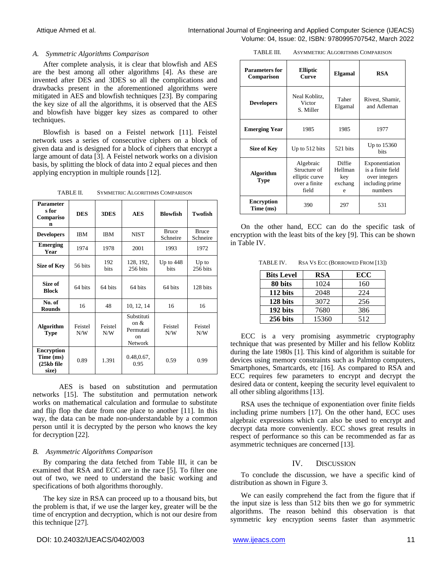#### *A. Symmetric Algorithms Comparison*

After complete analysis, it is clear that blowfish and AES are the best among all other algorithms [4]. As these are invented after DES and 3DES so all the complications and drawbacks present in the aforementioned algorithms were mitigated in AES and blowfish techniques [23]. By comparing the key size of all the algorithms, it is observed that the AES and blowfish have bigger key sizes as compared to other techniques.

Blowfish is based on a Feistel network [11]. Feistel network uses a series of consecutive ciphers on a block of given data and is designed for a block of ciphers that encrypt a large amount of data [3]. A Feistel network works on a division basis, by splitting the block of data into 2 equal pieces and then applying encryption in multiple rounds [12].

TABLE II. SYMMETRIC ALGORITHMS COMPARISON

| <b>Parameter</b><br>s for<br>Compariso<br>n              | <b>DES</b>     | 3DES               | <b>AES</b>                                                   | <b>Blowfish</b>            | Twofish                  |
|----------------------------------------------------------|----------------|--------------------|--------------------------------------------------------------|----------------------------|--------------------------|
| <b>Developers</b>                                        | <b>IBM</b>     | <b>IBM</b>         | <b>NIST</b>                                                  | <b>Bruce</b><br>Schneire   | <b>Bruce</b><br>Schneire |
| Emerging<br>Year                                         | 1974           | 1978               | 2001                                                         | 1993                       | 1972                     |
| Size of Kev                                              | 56 bits        | 192<br><b>bits</b> | 128, 192,<br>$256 \text{ bits}$                              | Up to $448$<br><b>bits</b> | $Up$ to<br>256 bits      |
| Size of<br><b>Block</b>                                  | 64 bits        | 64 bits            | 64 bits                                                      | 64 bits                    | 128 bits                 |
| No. of<br><b>Rounds</b>                                  | 16             | 48                 | 10, 12, 14                                                   | 16                         | 16                       |
| <b>Algorithm</b><br><b>Type</b>                          | Feistel<br>N/W | Feistel<br>N/W     | Substituti<br>on $\&$<br>Permutati<br>$_{\rm on}$<br>Network | Feistel<br>N/W             | Feistel<br>N/W           |
| <b>Encryption</b><br>Time (ms)<br>$(25kb)$ file<br>size) | 0.89           | 1.391              | 0.48, 0.67,<br>0.95                                          | 0.59                       | 0.99                     |

AES is based on substitution and permutation networks [15]. The substitution and permutation network works on mathematical calculation and formulae to substitute and flip flop the date from one place to another [11]. In this way, the data can be made non-understandable by a common person until it is decrypted by the person who knows the key for decryption [22].

#### *B. Asymmetric Algorithms Comparison*

By comparing the data fetched from Table III, it can be examined that RSA and ECC are in the race [5]. To filter one out of two, we need to understand the basic working and specifications of both algorithms thoroughly.

The key size in RSA can proceed up to a thousand bits, but the problem is that, if we use the larger key, greater will be the time of encryption and decryption, which is not our desire from this technique [27].

| TABLE III. | <b>ASYMMETRIC ALGORITHMS COMPARISON</b> |  |
|------------|-----------------------------------------|--|
|            |                                         |  |

| <b>Parameters for</b><br><b>Comparison</b> | <b>Elliptic</b><br>Curve                                              | <b>Elgamal</b>                                  | <b>RSA</b>                                                                         |
|--------------------------------------------|-----------------------------------------------------------------------|-------------------------------------------------|------------------------------------------------------------------------------------|
| <b>Developers</b>                          | Neal Koblitz,<br>Victor<br>S. Miller                                  | Taher<br>Elgamal                                | Rivest, Shamir,<br>and Adleman                                                     |
| <b>Emerging Year</b>                       | 1985                                                                  | 1985                                            | 1977                                                                               |
| <b>Size of Key</b>                         | Up to 512 bits                                                        | 521 bits                                        | Up to 15360<br>hits                                                                |
| <b>Algorithm</b><br>Type                   | Algebraic<br>Structure of<br>elliptic curve<br>over a finite<br>field | <b>Diffie</b><br>Hellman<br>key<br>exchang<br>e | Exponentiation<br>is a finite field<br>over integers<br>including prime<br>numbers |
| <b>Encryption</b><br>Time (ms)             | 390                                                                   | 297                                             | 531                                                                                |

On the other hand, ECC can do the specific task of encryption with the least bits of the key [9]. This can be shown in Table IV.

TABLE IV. RSA VS ECC (BORROWED FROM [13])

| <b>Bits Level</b> | RSA   | ECC  |
|-------------------|-------|------|
| 80 bits           | 1024  | 160  |
| 112 bits          | 2048  | 22.4 |
| 128 bits          | 3072  | 256  |
| 192 bits          | 7680  | 386  |
| 256 bits          | 15360 | 512  |

ECC is a very promising asymmetric cryptography technique that was presented by Miller and his fellow Koblitz during the late 1980s [1]. This kind of algorithm is suitable for devices using memory constraints such as Palmtop computers, Smartphones, Smartcards, etc [16]. As compared to RSA and ECC requires few parameters to encrypt and decrypt the desired data or content, keeping the security level equivalent to all other sibling algorithms [13].

RSA uses the technique of exponentiation over finite fields including prime numbers [17]. On the other hand, ECC uses algebraic expressions which can also be used to encrypt and decrypt data more conveniently. ECC shows great results in respect of performance so this can be recommended as far as asymmetric techniques are concerned [13].

#### IV. DISCUSSION

To conclude the discussion, we have a specific kind of distribution as shown in Figure 3.

We can easily comprehend the fact from the figure that if the input size is less than 512 bits then we go for symmetric algorithms. The reason behind this observation is that symmetric key encryption seems faster than asymmetric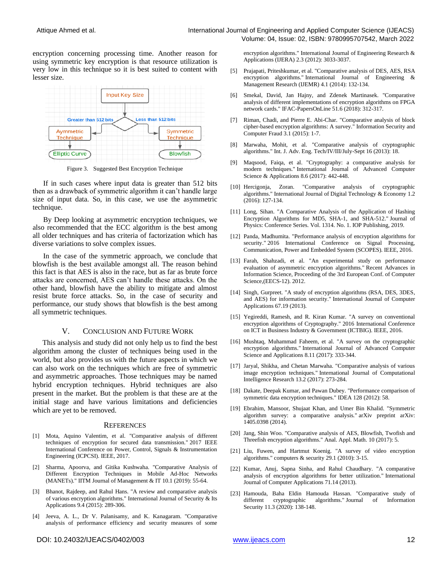encryption concerning processing time. Another reason for using symmetric key encryption is that resource utilization is very low in this technique so it is best suited to content with lesser size.



Figure 3. Suggested Best Encryption Technique

If in such cases where input data is greater than 512 bits then as a drawback of symmetric algorithm it can't handle large size of input data. So, in this case, we use the asymmetric technique.

By Deep looking at asymmetric encryption techniques, we also recommended that the ECC algorithm is the best among all older techniques and has criteria of factorization which has diverse variations to solve complex issues.

In the case of the symmetric approach, we conclude that blowfish is the best available amongst all. The reason behind this fact is that AES is also in the race, but as far as brute force attacks are concerned, AES can't handle these attacks. On the other hand, blowfish have the ability to mitigate and almost resist brute force attacks. So, in the case of security and performance, our study shows that blowfish is the best among all symmetric techniques.

#### V. CONCLUSION AND FUTURE WORK

This analysis and study did not only help us to find the best algorithm among the cluster of techniques being used in the world, but also provides us with the future aspects in which we can also work on the techniques which are free of symmetric and asymmetric approaches. Those techniques may be named hybrid encryption techniques. Hybrid techniques are also present in the market. But the problem is that these are at the initial stage and have various limitations and deficiencies which are yet to be removed.

#### **REFERENCES**

- [1] Mota, Aquino Valentim, et al. "Comparative analysis of different techniques of encryption for secured data transmission." 2017 IEEE International Conference on Power, Control, Signals & Instrumentation Engineering (ICPCSI). IEEE, 2017.
- [2] Sharma, Apoorva, and Gitika Kushwaha. "Comparative Analysis of Different Encryption Techniques in Mobile Ad-Hoc Networks (MANETs)." IITM Journal of Management & IT 10.1 (2019): 55-64.
- [3] Bhanot, Rajdeep, and Rahul Hans. "A review and comparative analysis of various encryption algorithms." International Journal of Security & Its Applications 9.4 (2015): 289-306.
- [4] Jeeva, A. L., Dr V. Palanisamy, and K. Kanagaram. "Comparative analysis of performance efficiency and security measures of some

encryption algorithms." International Journal of Engineering Research & Applications (IJERA) 2.3 (2012): 3033-3037.

- [5] Prajapati, Priteshkumar, et al. "Comparative analysis of DES, AES, RSA encryption algorithms." International Journal of Engineering & Management Research (IJEMR) 4.1 (2014): 132-134.
- [6] Smekal, David, Jan Hajny, and Zdenek Martinasek. "Comparative analysis of different implementations of encryption algorithms on FPGA network cards." IFAC-PapersOnLine 51.6 (2018): 312-317.
- [7] Riman, Chadi, and Pierre E. Abi-Char. "Comparative analysis of block cipher-based encryption algorithms: A survey." Information Security and Computer Fraud 3.1 (2015): 1-7.
- [8] Marwaha, Mohit, et al. "Comparative analysis of cryptographic algorithms." Int. J. Adv. Eng. Tech/IV/III/July-Sept 16 (2013): 18.
- [9] Maqsood, Faiqa, et al. "Cryptography: a comparative analysis for modern techniques." International Journal of Advanced Computer Science & Applications 8.6 (2017): 442-448.
- [10] Hercigonja, Zoran. "Comparative analysis of cryptographic algorithms." International Journal of Digital Technology & Economy 1.2 (2016): 127-134.
- [11] Long, Sihan. "A Comparative Analysis of the Application of Hashing Encryption Algorithms for MD5, SHA-1, and SHA-512." Journal of Physics: Conference Series. Vol. 1314. No. 1. IOP Publishing, 2019.
- [12] Panda, Madhumita. "Performance analysis of encryption algorithms for security." 2016 International Conference on Signal Processing, Communication, Power and Embedded System (SCOPES). IEEE, 2016.
- [13] Farah, Shahzadi, et al. "An experimental study on performance evaluation of asymmetric encryption algorithms." Recent Advances in Information Science, Proceeding of the 3rd European Conf. of Computer Science,(EECS-12). 2012.
- [14] Singh, Gurpreet. "A study of encryption algorithms (RSA, DES, 3DES, and AES) for information security." International Journal of Computer Applications 67.19 (2013).
- [15] Yegireddi, Ramesh, and R. Kiran Kumar. "A survey on conventional encryption algorithms of Cryptography." 2016 International Conference on ICT in Business Industry & Government (ICTBIG). IEEE, 2016.
- [16] Mushtaq, Muhammad Faheem, et al. "A survey on the cryptographic encryption algorithms." International Journal of Advanced Computer Science and Applications 8.11 (2017): 333-344.
- [17] Jaryal, Shikha, and Chetan Marwaha. "Comparative analysis of various image encryption techniques." International Journal of Computational Intelligence Research 13.2 (2017): 273-284.
- [18] Dakate, Deepak Kumar, and Pawan Dubey. "Performance comparison of symmetric data encryption techniques." IDEA 128 (2012): 58.
- [19] Ebrahim, Mansoor, Shujaat Khan, and Umer Bin Khalid. "Symmetric algorithm survey: a comparative analysis." arXiv preprint arXiv: 1405.0398 (2014).
- [20] Jang, Shin Woo. "Comparative analysis of AES, Blowfish, Twofish and Threefish encryption algorithms." Anal. Appl. Math. 10 (2017): 5.
- [21] Liu, Fuwen, and Hartmut Koenig. "A survey of video encryption algorithms." computers & security 29.1 (2010): 3-15.
- [22] Kumar, Anuj, Sapna Sinha, and Rahul Chaudhary. "A comparative analysis of encryption algorithms for better utilization." International Journal of Computer Applications 71.14 (2013).
- [23] Hamouda, Baha Eldin Hamouda Hassan. "Comparative study of different cryptographic algorithms." Journal of Information Security 11.3 (2020): 138-148.